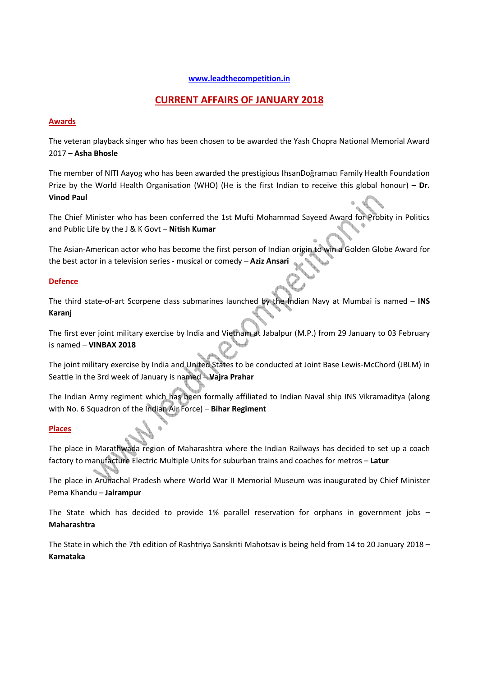## **www.leadthecompetition.in**

# **CURRENT AFFAIRS OF JANUARY 2018**

## **Awards**

The veteran playback singer who has been chosen to be awarded the Yash Chopra National Memorial Award 2017 – **Asha Bhosle** 

The member of NITI Aayog who has been awarded the prestigious IhsanDoğramacı Family Health Foundation Prize by the World Health Organisation (WHO) (He is the first Indian to receive this global honour) – **Dr. Vinod Paul** 

The Chief Minister who has been conferred the 1st Mufti Mohammad Sayeed Award for Probity in Politics and Public Life by the J & K Govt – **Nitish Kumar**

The Asian-American actor who has become the first person of Indian origin to win a Golden Globe Award for the best actor in a television series - musical or comedy – **Aziz Ansari** 

## **Defence**

The third state-of-art Scorpene class submarines launched by the Indian Navy at Mumbai is named – **INS Karanj** 

The first ever joint military exercise by India and Vietnam at Jabalpur (M.P.) from 29 January to 03 February is named – **VINBAX 2018**

The joint military exercise by India and United States to be conducted at Joint Base Lewis-McChord (JBLM) in Seattle in the 3rd week of January is named – **Vajra Prahar**

The Indian Army regiment which has been formally affiliated to Indian Naval ship INS Vikramaditya (along with No. 6 Squadron of the Indian Air Force) – **Bihar Regiment** 

## **Places**

The place in Marathwada region of Maharashtra where the Indian Railways has decided to set up a coach factory to manufacture Electric Multiple Units for suburban trains and coaches for metros – **Latur**

The place in Arunachal Pradesh where World War II Memorial Museum was inaugurated by Chief Minister Pema Khandu – **Jairampur**

The State which has decided to provide 1% parallel reservation for orphans in government jobs – **Maharashtra**

The State in which the 7th edition of Rashtriya Sanskriti Mahotsav is being held from 14 to 20 January 2018 – **Karnataka**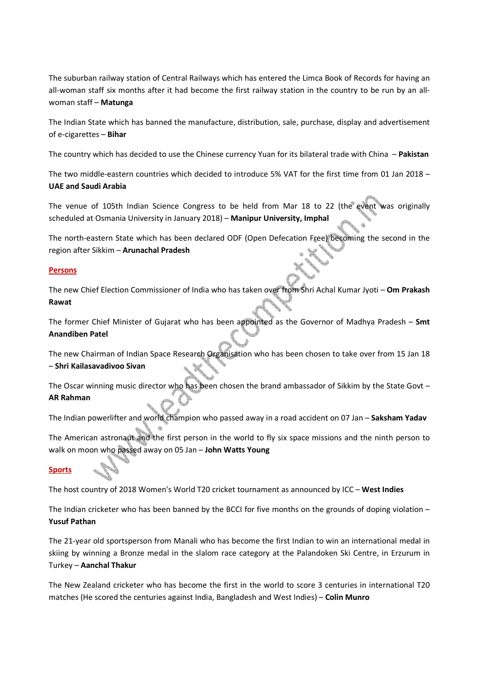The suburban railway station of Central Railways which has entered the Limca Book of Records for having an all-woman staff six months after it had become the first railway station in the country to be run by an allwoman staff – **Matunga** 

The Indian State which has banned the manufacture, distribution, sale, purchase, display and advertisement of e-cigarettes – **Bihar** 

The country which has decided to use the Chinese currency Yuan for its bilateral trade with China – **Pakistan**

The two middle-eastern countries which decided to introduce 5% VAT for the first time from 01 Jan 2018 – **UAE and Saudi Arabia**

The venue of 105th Indian Science Congress to be held from Mar 18 to 22 (the event was originally scheduled at Osmania University in January 2018) – **Manipur University, Imphal**

The north-eastern State which has been declared ODF (Open Defecation Free) becoming the second in the region after Sikkim – **Arunachal Pradesh**

## **Persons**

The new Chief Election Commissioner of India who has taken over from Shri Achal Kumar Jyoti – **Om Prakash Rawat**

The former Chief Minister of Gujarat who has been appointed as the Governor of Madhya Pradesh – **Smt Anandiben Patel**

The new Chairman of Indian Space Research Organisation who has been chosen to take over from 15 Jan 18 – **Shri Kailasavadivoo Sivan**

The Oscar winning music director who has been chosen the brand ambassador of Sikkim by the State Govt – **AR Rahman**

The Indian powerlifter and world champion who passed away in a road accident on 07 Jan – **Saksham Yadav**

The American astronaut and the first person in the world to fly six space missions and the ninth person to walk on moon who passed away on 05 Jan – **John Watts Young**

## **Sports**

The host country of 2018 Women's World T20 cricket tournament as announced by ICC – **West Indies**

The Indian cricketer who has been banned by the BCCI for five months on the grounds of doping violation – **Yusuf Pathan**

The 21-year old sportsperson from Manali who has become the first Indian to win an international medal in skiing by winning a Bronze medal in the slalom race category at the Palandoken Ski Centre, in Erzurum in Turkey – **Aanchal Thakur**

The New Zealand cricketer who has become the first in the world to score 3 centuries in international T20 matches (He scored the centuries against India, Bangladesh and West Indies) – **Colin Munro**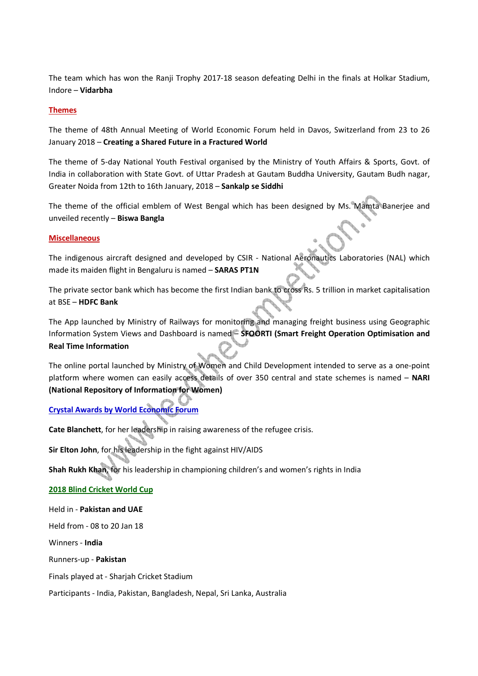The team which has won the Ranji Trophy 2017-18 season defeating Delhi in the finals at Holkar Stadium, Indore – **Vidarbha**

#### **Themes**

The theme of 48th Annual Meeting of World Economic Forum held in Davos, Switzerland from 23 to 26 January 2018 – **Creating a Shared Future in a Fractured World** 

The theme of 5-day National Youth Festival organised by the Ministry of Youth Affairs & Sports, Govt. of India in collaboration with State Govt. of Uttar Pradesh at Gautam Buddha University, Gautam Budh nagar, Greater Noida from 12th to 16th January, 2018 – **Sankalp se Siddhi** 

The theme of the official emblem of West Bengal which has been designed by Ms. Mamta Banerjee and unveiled recently – **Biswa Bangla**

#### **Miscellaneous**

The indigenous aircraft designed and developed by CSIR - National Aeronautics Laboratories (NAL) which made its maiden flight in Bengaluru is named – **SARAS PT1N**

The private sector bank which has become the first Indian bank to cross Rs. 5 trillion in market capitalisation at BSE – **HDFC Bank**

The App launched by Ministry of Railways for monitoring and managing freight business using Geographic Information System Views and Dashboard is named – **SFOORTI (Smart Freight Operation Optimisation and Real Time Information**

The online portal launched by Ministry of Women and Child Development intended to serve as a one-point platform where women can easily access details of over 350 central and state schemes is named – **NARI (National Repository of Information for Women)**

## **Crystal Awards by World Economic Forum**

**Cate Blanchett**, for her leadership in raising awareness of the refugee crisis.

**Sir Elton John**, for his leadership in the fight against HIV/AIDS

**Shah Rukh Khan**, for his leadership in championing children's and women's rights in India

## **2018 Blind Cricket World Cup**

Held in - **Pakistan and UAE**

Held from - 08 to 20 Jan 18

Winners - **India**

Runners-up - **Pakistan**

Finals played at - Sharjah Cricket Stadium

Participants - India, Pakistan, Bangladesh, Nepal, Sri Lanka, Australia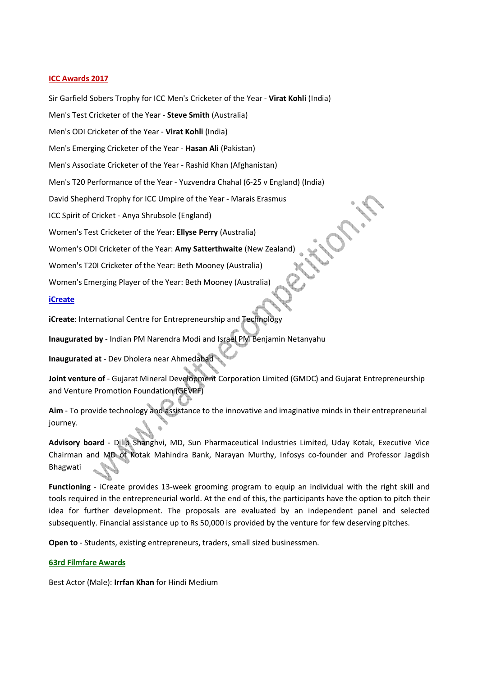## **ICC Awards 2017**

Sir Garfield Sobers Trophy for ICC Men's Cricketer of the Year - **Virat Kohli** (India)

Men's Test Cricketer of the Year - **Steve Smith** (Australia)

Men's ODI Cricketer of the Year - **Virat Kohli** (India)

Men's Emerging Cricketer of the Year - **Hasan Ali** (Pakistan)

Men's Associate Cricketer of the Year - Rashid Khan (Afghanistan)

Men's T20 Performance of the Year - Yuzvendra Chahal (6-25 v England) (India)

David Shepherd Trophy for ICC Umpire of the Year - Marais Erasmus

ICC Spirit of Cricket - Anya Shrubsole (England)

Women's Test Cricketer of the Year: **Ellyse Perry** (Australia)

Women's ODI Cricketer of the Year: **Amy Satterthwaite** (New Zealand)

Women's T20I Cricketer of the Year: Beth Mooney (Australia)

Women's Emerging Player of the Year: Beth Mooney (Australia)

#### **iCreate**

**iCreate**: International Centre for Entrepreneurship and Technology

**Inaugurated by** - Indian PM Narendra Modi and Israel PM Benjamin Netanyahu

**Inaugurated at** - Dev Dholera near Ahmedabad

**Joint venture of** - Gujarat Mineral Development Corporation Limited (GMDC) and Gujarat Entrepreneurship and Venture Promotion Foundation (GEVPF)

**Aim** - To provide technology and assistance to the innovative and imaginative minds in their entrepreneurial journey.

**Advisory board** - Dilip Shanghvi, MD, Sun Pharmaceutical Industries Limited, Uday Kotak, Executive Vice Chairman and MD of Kotak Mahindra Bank, Narayan Murthy, Infosys co-founder and Professor Jagdish Bhagwati

**Functioning** - iCreate provides 13-week grooming program to equip an individual with the right skill and tools required in the entrepreneurial world. At the end of this, the participants have the option to pitch their idea for further development. The proposals are evaluated by an independent panel and selected subsequently. Financial assistance up to Rs 50,000 is provided by the venture for few deserving pitches.

**Open to** - Students, existing entrepreneurs, traders, small sized businessmen.

#### **63rd Filmfare Awards**

Best Actor (Male): **Irrfan Khan** for Hindi Medium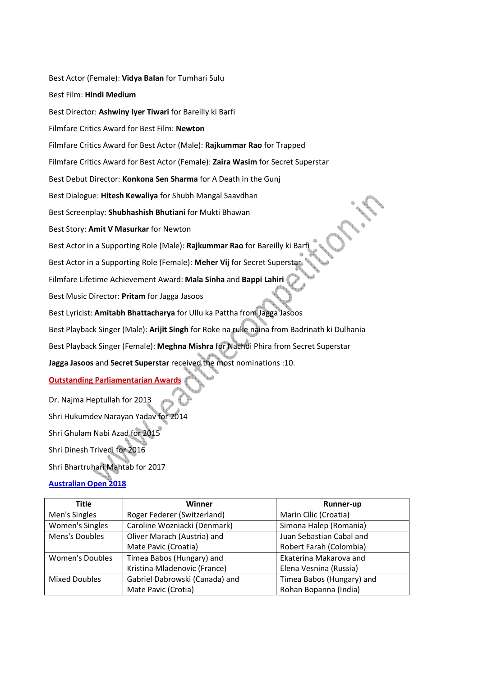Best Actor (Female): **Vidya Balan** for Tumhari Sulu Best Film: **Hindi Medium** Best Director: **Ashwiny Iyer Tiwari** for Bareilly ki Barfi Filmfare Critics Award for Best Film: **Newton** Filmfare Critics Award for Best Actor (Male): **Rajkummar Rao** for Trapped Filmfare Critics Award for Best Actor (Female): **Zaira Wasim** for Secret Superstar Best Debut Director: **Konkona Sen Sharma** for A Death in the Gunj Best Dialogue: **Hitesh Kewaliya** for Shubh Mangal Saavdhan Best Screenplay: **Shubhashish Bhutiani** for Mukti Bhawan Best Story: **Amit V Masurkar** for Newton Best Actor in a Supporting Role (Male): **Rajkummar Rao** for Bareilly ki Barfi Best Actor in a Supporting Role (Female): **Meher Vij** for Secret Superstar Filmfare Lifetime Achievement Award: **Mala Sinha** and **Bappi Lahiri** Best Music Director: **Pritam** for Jagga Jasoos Best Lyricist: **Amitabh Bhattacharya** for Ullu ka Pattha from Jagga Jasoos Best Playback Singer (Male): **Arijit Singh** for Roke na ruke naina from Badrinath ki Dulhania Best Playback Singer (Female): **Meghna Mishra** for Nachdi Phira from Secret Superstar **Jagga Jasoos** and **Secret Superstar** received the most nominations :10. **Outstanding Parliamentarian Awards** Dr. Najma Heptullah for 2013 Shri Hukumdev Narayan Yadav for 2014 Shri Ghulam Nabi Azad for 2015

Shri Dinesh Trivedi for 2016

Shri Bhartruhari Mahtab for 2017

**Australian Open 2018**

| Title                  | Winner                         | Runner-up                 |
|------------------------|--------------------------------|---------------------------|
| Men's Singles          | Roger Federer (Switzerland)    | Marin Cilic (Croatia)     |
| <b>Women's Singles</b> | Caroline Wozniacki (Denmark)   | Simona Halep (Romania)    |
| Mens's Doubles         | Oliver Marach (Austria) and    | Juan Sebastian Cabal and  |
|                        | Mate Pavic (Croatia)           | Robert Farah (Colombia)   |
| <b>Women's Doubles</b> | Timea Babos (Hungary) and      | Ekaterina Makarova and    |
|                        | Kristina Mladenovic (France)   | Elena Vesnina (Russia)    |
| <b>Mixed Doubles</b>   | Gabriel Dabrowski (Canada) and | Timea Babos (Hungary) and |
|                        | Mate Pavic (Crotia)            | Rohan Bopanna (India)     |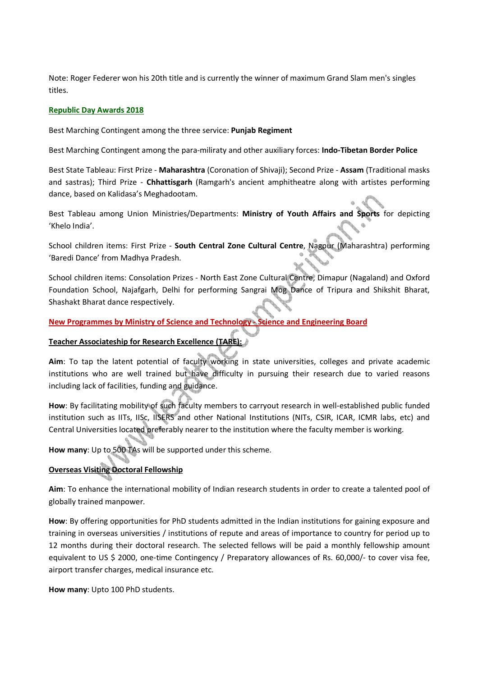Note: Roger Federer won his 20th title and is currently the winner of maximum Grand Slam men's singles titles.

#### **Republic Day Awards 2018**

Best Marching Contingent among the three service: **Punjab Regiment**

Best Marching Contingent among the para-miliraty and other auxiliary forces: **Indo-Tibetan Border Police**

Best State Tableau: First Prize - **Maharashtra** (Coronation of Shivaji); Second Prize - **Assam** (Traditional masks and sastras); Third Prize - **Chhattisgarh** (Ramgarh's ancient amphitheatre along with artistes performing dance, based on Kalidasa's Meghadootam.

Best Tableau among Union Ministries/Departments: **Ministry of Youth Affairs and Sports** for depicting 'Khelo India'.

School children items: First Prize - **South Central Zone Cultural Centre**, Nagpur (Maharashtra) performing 'Baredi Dance' from Madhya Pradesh.

School children items: Consolation Prizes - North East Zone Cultural Centre, Dimapur (Nagaland) and Oxford Foundation School, Najafgarh, Delhi for performing Sangrai Mog Dance of Tripura and Shikshit Bharat, Shashakt Bharat dance respectively.

**New Programmes by Ministry of Science and Technology - Science and Engineering Board**

## **Teacher Associateship for Research Excellence (TARE):**

**Aim**: To tap the latent potential of faculty working in state universities, colleges and private academic institutions who are well trained but have difficulty in pursuing their research due to varied reasons including lack of facilities, funding and guidance.

**How**: By facilitating mobility of such faculty members to carryout research in well-established public funded institution such as IITs, IISc, IISERS and other National Institutions (NITs, CSIR, ICAR, ICMR labs, etc) and Central Universities located preferably nearer to the institution where the faculty member is working.

**How many**: Up to 500 TAs will be supported under this scheme.

## **Overseas Visiting Doctoral Fellowship**

**Aim**: To enhance the international mobility of Indian research students in order to create a talented pool of globally trained manpower.

**How**: By offering opportunities for PhD students admitted in the Indian institutions for gaining exposure and training in overseas universities / institutions of repute and areas of importance to country for period up to 12 months during their doctoral research. The selected fellows will be paid a monthly fellowship amount equivalent to US \$ 2000, one-time Contingency / Preparatory allowances of Rs. 60,000/- to cover visa fee, airport transfer charges, medical insurance etc.

**How many**: Upto 100 PhD students.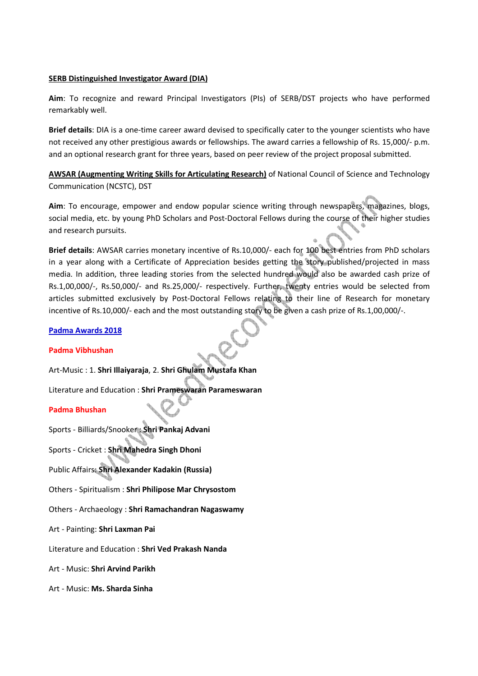#### **SERB Distinguished Investigator Award (DIA)**

**Aim**: To recognize and reward Principal Investigators (PIs) of SERB/DST projects who have performed remarkably well.

**Brief details**: DIA is a one-time career award devised to specifically cater to the younger scientists who have not received any other prestigious awards or fellowships. The award carries a fellowship of Rs. 15,000/- p.m. and an optional research grant for three years, based on peer review of the project proposal submitted.

**AWSAR (Augmenting Writing Skills for Articulating Research)** of National Council of Science and Technology Communication (NCSTC), DST

**Aim**: To encourage, empower and endow popular science writing through newspapers, magazines, blogs, social media, etc. by young PhD Scholars and Post-Doctoral Fellows during the course of their higher studies and research pursuits.

**Brief details**: AWSAR carries monetary incentive of Rs.10,000/- each for 100 best entries from PhD scholars in a year along with a Certificate of Appreciation besides getting the story published/projected in mass media. In addition, three leading stories from the selected hundred would also be awarded cash prize of Rs.1,00,000/-, Rs.50,000/- and Rs.25,000/- respectively. Further, twenty entries would be selected from articles submitted exclusively by Post-Doctoral Fellows relating to their line of Research for monetary incentive of Rs.10,000/- each and the most outstanding story to be given a cash prize of Rs.1,00,000/-.

## **Padma Awards 2018**

#### **Padma Vibhushan**

Art-Music : 1. **Shri Illaiyaraja**, 2. **Shri Ghulam Mustafa Khan**

Literature and Education : **Shri Prameswaran Parameswaran**

## **Padma Bhushan**

Sports - Billiards/Snooker : **Shri Pankaj Advani**

Sports - Cricket : **Shri Mahedra Singh Dhoni**

Public Affairs: **Shri Alexander Kadakin (Russia)**

Others - Spiritualism : **Shri Philipose Mar Chrysostom**

Others - Archaeology : **Shri Ramachandran Nagaswamy**

Art - Painting: **Shri Laxman Pai**

Literature and Education : **Shri Ved Prakash Nanda**

Art - Music: **Shri Arvind Parikh**

Art - Music: **Ms. Sharda Sinha**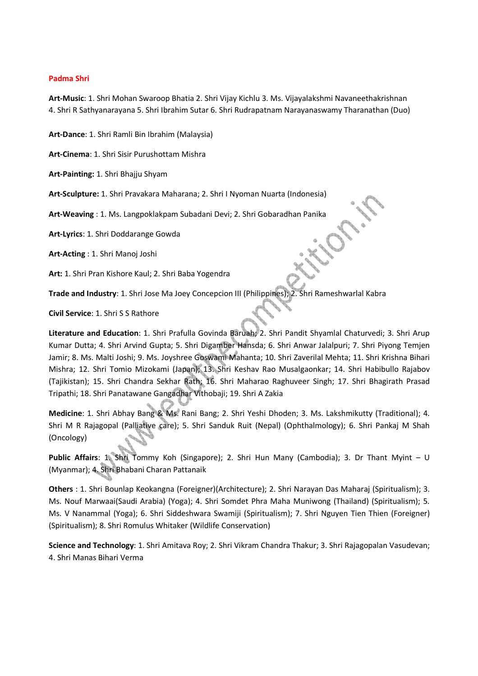#### **Padma Shri**

**Art-Music**: 1. Shri Mohan Swaroop Bhatia 2. Shri Vijay Kichlu 3. Ms. Vijayalakshmi Navaneethakrishnan 4. Shri R Sathyanarayana 5. Shri Ibrahim Sutar 6. Shri Rudrapatnam Narayanaswamy Tharanathan (Duo)

**Art-Dance**: 1. Shri Ramli Bin Ibrahim (Malaysia)

**Art-Cinema**: 1. Shri Sisir Purushottam Mishra

**Art-Painting:** 1. Shri Bhajju Shyam

**Art-Sculpture:** 1. Shri Pravakara Maharana; 2. Shri I Nyoman Nuarta (Indonesia)

**Art-Weaving** : 1. Ms. Langpoklakpam Subadani Devi; 2. Shri Gobaradhan Panika

**Art-Lyrics**: 1. Shri Doddarange Gowda

**Art-Acting** : 1. Shri Manoj Joshi

**Art:** 1. Shri Pran Kishore Kaul; 2. Shri Baba Yogendra

**Trade and Industry**: 1. Shri Jose Ma Joey Concepcion III (Philippines); 2. Shri Rameshwarlal Kabra

**Civil Service**: 1. Shri S S Rathore

**Literature and Education**: 1. Shri Prafulla Govinda Baruah; 2. Shri Pandit Shyamlal Chaturvedi; 3. Shri Arup Kumar Dutta; 4. Shri Arvind Gupta; 5. Shri Digamber Hansda; 6. Shri Anwar Jalalpuri; 7. Shri Piyong Temjen Jamir; 8. Ms. Malti Joshi; 9. Ms. Joyshree Goswami Mahanta; 10. Shri Zaverilal Mehta; 11. Shri Krishna Bihari Mishra; 12. Shri Tomio Mizokami (Japan); 13. Shri Keshav Rao Musalgaonkar; 14. Shri Habibullo Rajabov (Tajikistan); 15. Shri Chandra Sekhar Rath; 16. Shri Maharao Raghuveer Singh; 17. Shri Bhagirath Prasad Tripathi; 18. Shri Panatawane Gangadhar Vithobaji; 19. Shri A Zakia

**Medicine**: 1. Shri Abhay Bang & Ms. Rani Bang; 2. Shri Yeshi Dhoden; 3. Ms. Lakshmikutty (Traditional); 4. Shri M R Rajagopal (Palliative care); 5. Shri Sanduk Ruit (Nepal) (Ophthalmology); 6. Shri Pankaj M Shah (Oncology)

**Public Affairs**: 1. Shri Tommy Koh (Singapore); 2. Shri Hun Many (Cambodia); 3. Dr Thant Myint – U (Myanmar); 4. Shri Bhabani Charan Pattanaik

**Others** : 1. Shri Bounlap Keokangna (Foreigner)(Architecture); 2. Shri Narayan Das Maharaj (Spiritualism); 3. Ms. Nouf Marwaai(Saudi Arabia) (Yoga); 4. Shri Somdet Phra Maha Muniwong (Thailand) (Spiritualism); 5. Ms. V Nanammal (Yoga); 6. Shri Siddeshwara Swamiji (Spiritualism); 7. Shri Nguyen Tien Thien (Foreigner) (Spiritualism); 8. Shri Romulus Whitaker (Wildlife Conservation)

**Science and Technology**: 1. Shri Amitava Roy; 2. Shri Vikram Chandra Thakur; 3. Shri Rajagopalan Vasudevan; 4. Shri Manas Bihari Verma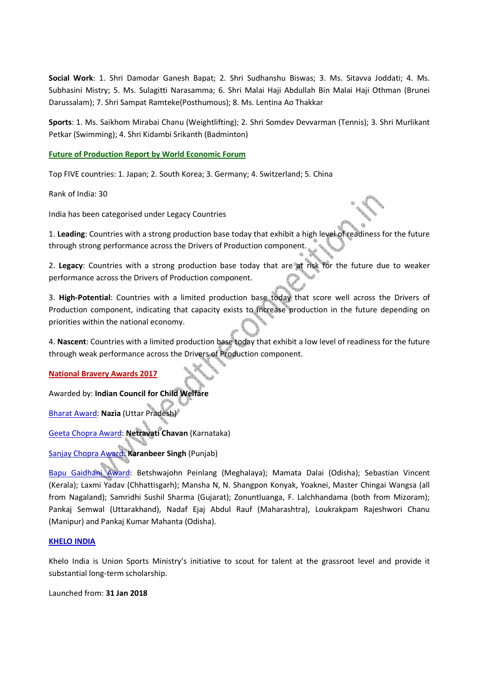**Social Work**: 1. Shri Damodar Ganesh Bapat; 2. Shri Sudhanshu Biswas; 3. Ms. Sitavva Joddati; 4. Ms. Subhasini Mistry; 5. Ms. Sulagitti Narasamma; 6. Shri Malai Haji Abdullah Bin Malai Haji Othman (Brunei Darussalam); 7. Shri Sampat Ramteke(Posthumous); 8. Ms. Lentina Ao Thakkar

**Sports**: 1. Ms. Saikhom Mirabai Chanu (Weightlifting); 2. Shri Somdev Devvarman (Tennis); 3. Shri Murlikant Petkar (Swimming); 4. Shri Kidambi Srikanth (Badminton)

**Future of Production Report by World Economic Forum**

Top FIVE countries: 1. Japan; 2. South Korea; 3. Germany; 4. Switzerland; 5. China

Rank of India: 30

India has been categorised under Legacy Countries

1. **Leading**: Countries with a strong production base today that exhibit a high level of readiness for the future through strong performance across the Drivers of Production component.

2. **Legacy**: Countries with a strong production base today that are at risk for the future due to weaker performance across the Drivers of Production component.

3. **High-Potential**: Countries with a limited production base today that score well across the Drivers of Production component, indicating that capacity exists to increase production in the future depending on priorities within the national economy.

4. **Nascent**: Countries with a limited production base today that exhibit a low level of readiness for the future through weak performance across the Drivers of Production component.

**National Bravery Awards 2017**

Awarded by: **Indian Council for Child Welfare**

Bharat Award: **Nazia** (Uttar Pradesh)

Geeta Chopra Award: **Netravati Chavan** (Karnataka)

Sanjay Chopra Award: **Karanbeer Singh** (Punjab)

Bapu Gaidhani Award: Betshwajohn Peinlang (Meghalaya); Mamata Dalai (Odisha); Sebastian Vincent (Kerala); Laxmi Yadav (Chhattisgarh); Mansha N, N. Shangpon Konyak, Yoaknei, Master Chingai Wangsa (all from Nagaland); Samridhi Sushil Sharma (Gujarat); Zonuntluanga, F. Lalchhandama (both from Mizoram); Pankaj Semwal (Uttarakhand), Nadaf Ejaj Abdul Rauf (Maharashtra), Loukrakpam Rajeshwori Chanu (Manipur) and Pankaj Kumar Mahanta (Odisha).

## **KHELO INDIA**

Khelo India is Union Sports Ministry's initiative to scout for talent at the grassroot level and provide it substantial long-term scholarship.

Launched from: **31 Jan 2018**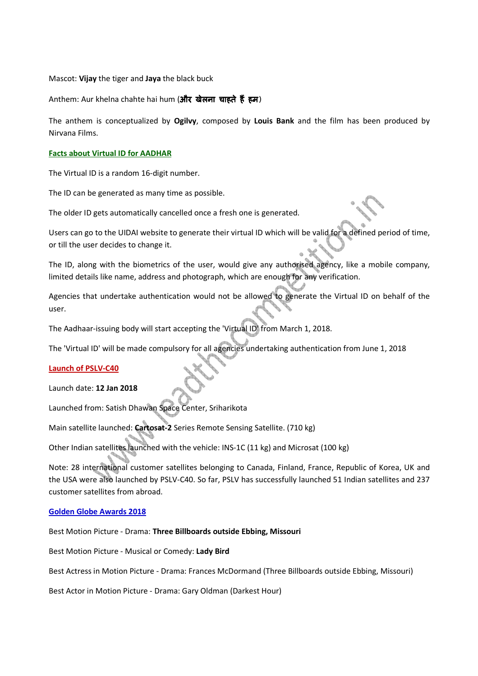#### Mascot: **Vijay** the tiger and **Jaya** the black buck

Anthem: Aur khelna chahte hai hum (और खेलना चाहते हैं हम)

The anthem is conceptualized by **Ogilvy**, composed by **Louis Bank** and the film has been produced by Nirvana Films.

#### **Facts about Virtual ID for AADHAR**

The Virtual ID is a random 16-digit number.

The ID can be generated as many time as possible.

The older ID gets automatically cancelled once a fresh one is generated.

Users can go to the UIDAI website to generate their virtual ID which will be valid for a defined period of time, or till the user decides to change it.

The ID, along with the biometrics of the user, would give any authorised agency, like a mobile company, limited details like name, address and photograph, which are enough for any verification.

Agencies that undertake authentication would not be allowed to generate the Virtual ID on behalf of the user.

The Aadhaar-issuing body will start accepting the 'Virtual ID' from March 1, 2018.

The 'Virtual ID' will be made compulsory for all agencies undertaking authentication from June 1, 2018

## **Launch of PSLV-C40**

#### Launch date: **12 Jan 2018**

Launched from: Satish Dhawan Space Center, Sriharikota

Main satellite launched: **Cartosat-2** Series Remote Sensing Satellite. (710 kg)

Other Indian satellites launched with the vehicle: INS-1C (11 kg) and Microsat (100 kg)

Note: 28 international customer satellites belonging to Canada, Finland, France, Republic of Korea, UK and the USA were also launched by PSLV-C40. So far, PSLV has successfully launched 51 Indian satellites and 237 customer satellites from abroad.

## **Golden Globe Awards 2018**

Best Motion Picture - Drama: **Three Billboards outside Ebbing, Missouri**

Best Motion Picture - Musical or Comedy: **Lady Bird**

Best Actress in Motion Picture - Drama: Frances McDormand (Three Billboards outside Ebbing, Missouri)

Best Actor in Motion Picture - Drama: Gary Oldman (Darkest Hour)